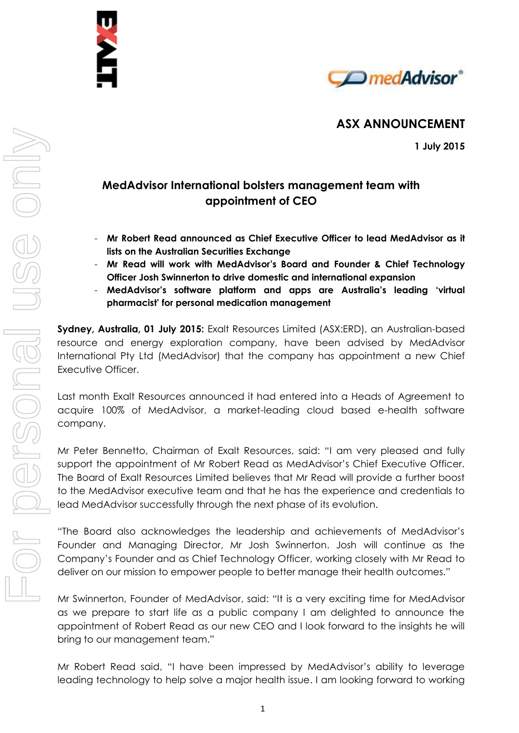

# **ASX ANNOUNCEMENT**

**1 July 2015**

# **MedAdvisor International bolsters management team with appointment of CEO**

- **Mr Robert Read announced as Chief Executive Officer to lead MedAdvisor as it lists on the Australian Securities Exchange**
- **Mr Read will work with MedAdvisor's Board and Founder & Chief Technology Officer Josh Swinnerton to drive domestic and international expansion**
- **MedAdvisor's software platform and apps are Australia's leading 'virtual pharmacist' for personal medication management**

**Sydney, Australia, 01 July 2015:** Exalt Resources Limited (ASX:ERD), an Australian-based resource and energy exploration company, have been advised by MedAdvisor International Pty Ltd (MedAdvisor) that the company has appointment a new Chief Executive Officer.

Last month Exalt Resources announced it had entered into a Heads of Agreement to acquire 100% of MedAdvisor, a market-leading cloud based e-health software company.

Mr Peter Bennetto, Chairman of Exalt Resources, said: "I am very pleased and fully support the appointment of Mr Robert Read as MedAdvisor's Chief Executive Officer. The Board of Exalt Resources Limited believes that Mr Read will provide a further boost to the MedAdvisor executive team and that he has the experience and credentials to lead MedAdvisor successfully through the next phase of its evolution.

"The Board also acknowledges the leadership and achievements of MedAdvisor's Founder and Managing Director, Mr Josh Swinnerton. Josh will continue as the Company's Founder and as Chief Technology Officer, working closely with Mr Read to deliver on our mission to empower people to better manage their health outcomes."

Mr Swinnerton, Founder of MedAdvisor, said: "It is a very exciting time for MedAdvisor as we prepare to start life as a public company I am delighted to announce the appointment of Robert Read as our new CEO and I look forward to the insights he will bring to our management team."

Mr Robert Read said, "I have been impressed by MedAdvisor's ability to leverage leading technology to help solve a major health issue. I am looking forward to working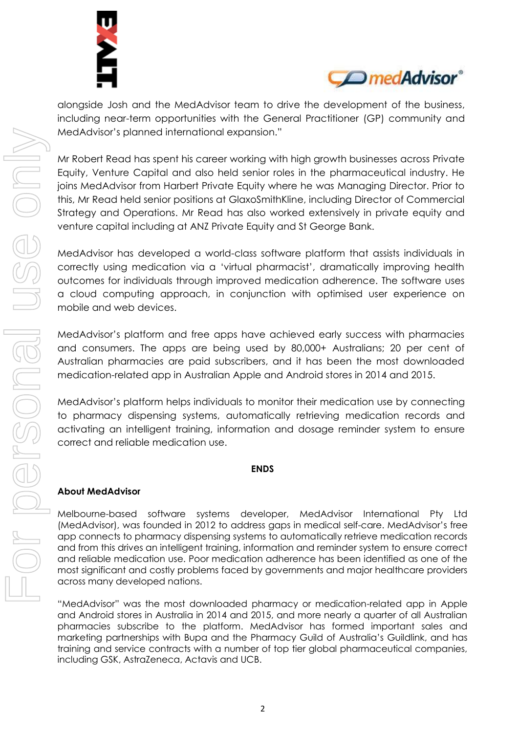



alongside Josh and the MedAdvisor team to drive the development of the business, including near-term opportunities with the General Practitioner (GP) community and MedAdvisor's planned international expansion."

Mr Robert Read has spent his career working with high growth businesses across Private Equity, Venture Capital and also held senior roles in the pharmaceutical industry. He joins MedAdvisor from Harbert Private Equity where he was Managing Director. Prior to this, Mr Read held senior positions at GlaxoSmithKline, including Director of Commercial Strategy and Operations. Mr Read has also worked extensively in private equity and venture capital including at ANZ Private Equity and St George Bank.

MedAdvisor has developed a world-class software platform that assists individuals in correctly using medication via a 'virtual pharmacist', dramatically improving health outcomes for individuals through improved medication adherence. The software uses a cloud computing approach, in conjunction with optimised user experience on mobile and web devices.

MedAdvisor's platform and free apps have achieved early success with pharmacies and consumers. The apps are being used by 80,000+ Australians; 20 per cent of Australian pharmacies are paid subscribers, and it has been the most downloaded medication-related app in Australian Apple and Android stores in 2014 and 2015.

MedAdvisor's platform helps individuals to monitor their medication use by connecting to pharmacy dispensing systems, automatically retrieving medication records and activating an intelligent training, information and dosage reminder system to ensure correct and reliable medication use.

### **ENDS**

### **About MedAdvisor**

Melbourne-based software systems developer, MedAdvisor International Pty Ltd (MedAdvisor), was founded in 2012 to address gaps in medical self-care. MedAdvisor's free app connects to pharmacy dispensing systems to automatically retrieve medication records and from this drives an intelligent training, information and reminder system to ensure correct and reliable medication use. Poor medication adherence has been identified as one of the most significant and costly problems faced by governments and major healthcare providers across many developed nations.

"MedAdvisor" was the most downloaded pharmacy or medication-related app in Apple and Android stores in Australia in 2014 and 2015, and more nearly a quarter of all Australian pharmacies subscribe to the platform. MedAdvisor has formed important sales and marketing partnerships with Bupa and the Pharmacy Guild of Australia's Guildlink, and has training and service contracts with a number of top tier global pharmaceutical companies, including GSK, AstraZeneca, Actavis and UCB.